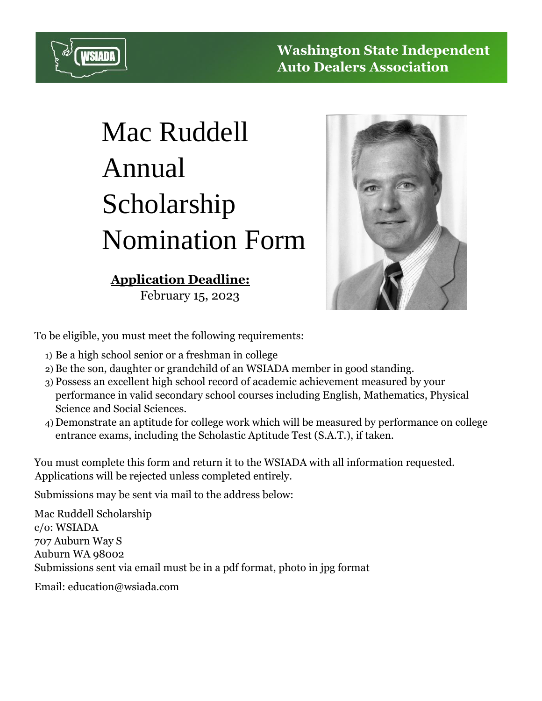

## Mac Ruddell Annual Scholarship Nomination Form

## **Application Deadline:**

February 15, 2023



To be eligible, you must meet the following requirements:

- 1) Be a high school senior or a freshman in college
- 2) Be the son, daughter or grandchild of an WSIADA member in good standing.
- 3) Possess an excellent high school record of academic achievement measured by your performance in valid secondary school courses including English, Mathematics, Physical Science and Social Sciences.
- 4) Demonstrate an aptitude for college work which will be measured by performance on college entrance exams, including the Scholastic Aptitude Test (S.A.T.), if taken.

You must complete this form and return it to the WSIADA with all information requested. Applications will be rejected unless completed entirely.

Submissions may be sent via mail to the address below:

Mac Ruddell Scholarship c/o: WSIADA 707 Auburn Way S Auburn WA 98002 Submissions sent via email must be in a pdf format, photo in jpg format

Email: education@wsiada.com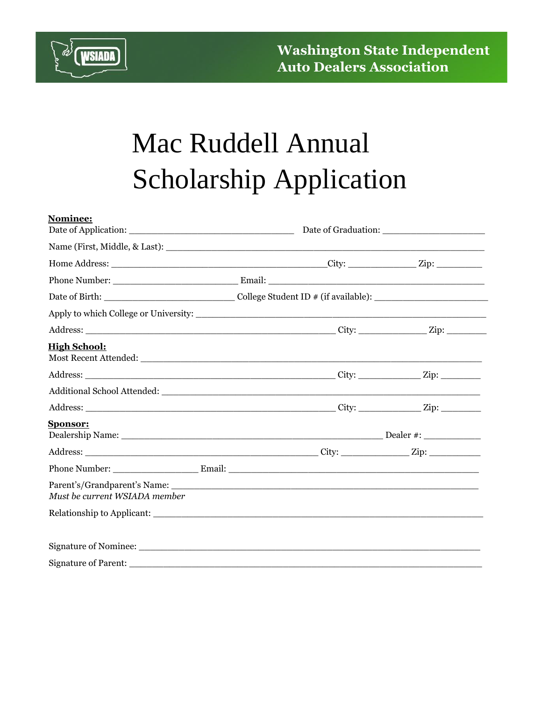

## Mac Ruddell Annual Scholarship Application

| Nominee:                      |  |                                                                                                                |  |  |
|-------------------------------|--|----------------------------------------------------------------------------------------------------------------|--|--|
|                               |  |                                                                                                                |  |  |
|                               |  |                                                                                                                |  |  |
|                               |  |                                                                                                                |  |  |
|                               |  | Date of Birth: __________________________________College Student ID # (if available): ________________________ |  |  |
|                               |  |                                                                                                                |  |  |
|                               |  |                                                                                                                |  |  |
| <b>High School:</b>           |  |                                                                                                                |  |  |
|                               |  |                                                                                                                |  |  |
|                               |  |                                                                                                                |  |  |
|                               |  |                                                                                                                |  |  |
| <b>Sponsor:</b>               |  |                                                                                                                |  |  |
|                               |  |                                                                                                                |  |  |
|                               |  |                                                                                                                |  |  |
| Must be current WSIADA member |  |                                                                                                                |  |  |
|                               |  |                                                                                                                |  |  |
|                               |  |                                                                                                                |  |  |
|                               |  |                                                                                                                |  |  |